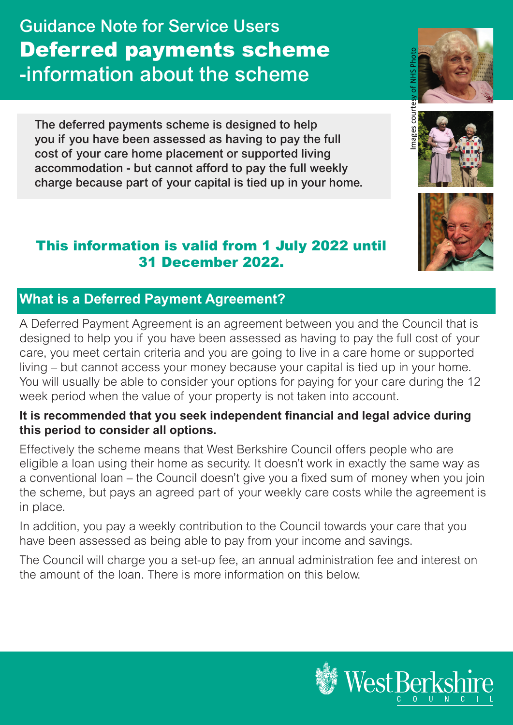Guidance Note for Service Users Deferred payments scheme -information about the scheme

The deferred payments scheme is designed to help you if you have been assessed as having to pay the full cost of your care home placement or supported living accommodation - but cannot afford to pay the full weekly charge because part of your capital is tied up in your home.

## This information is valid from 1 July 2022 until 31 December 2022.

# **What is a Deferred Payment Agreement?**

A Deferred Payment Agreement is an agreement between you and the Council that is designed to help you if you have been assessed as having to pay the full cost of your care, you meet certain criteria and you are going to live in a care home or supported living – but cannot access your money because your capital is tied up in your home. You will usually be able to consider your options for paying for your care during the 12 week period when the value of your property is not taken into account.

#### **It is recommended that you seek independent financial and legal advice during this period to consider all options.**

Effectively the scheme means that West Berkshire Council offers people who are eligible a loan using their home as security. It doesn't work in exactly the same way as a conventional loan – the Council doesn't give you a fixed sum of money when you join the scheme, but pays an agreed part of your weekly care costs while the agreement is in place.

In addition, you pay a weekly contribution to the Council towards your care that you have been assessed as being able to pay from your income and savings.

The Council will charge you a set-up fee, an annual administration fee and interest on the amount of the loan. There is more information on this below.







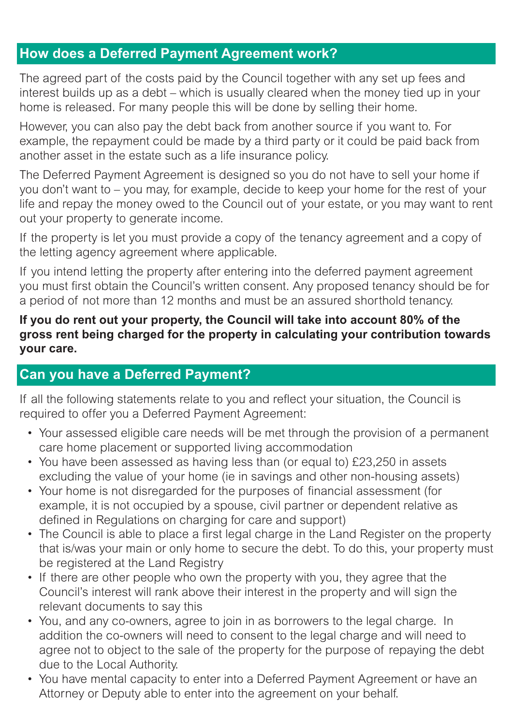## **How does a Deferred Payment Agreement work?**

The agreed part of the costs paid by the Council together with any set up fees and interest builds up as a debt – which is usually cleared when the money tied up in your home is released. For many people this will be done by selling their home.

However, you can also pay the debt back from another source if you want to. For example, the repayment could be made by a third party or it could be paid back from another asset in the estate such as a life insurance policy.

The Deferred Payment Agreement is designed so you do not have to sell your home if you don't want to – you may, for example, decide to keep your home for the rest of your life and repay the money owed to the Council out of your estate, or you may want to rent out your property to generate income.

If the property is let you must provide a copy of the tenancy agreement and a copy of the letting agency agreement where applicable.

If you intend letting the property after entering into the deferred payment agreement you must first obtain the Council's written consent. Any proposed tenancy should be for a period of not more than 12 months and must be an assured shorthold tenancy.

#### **If you do rent out your property, the Council will take into account 80% of the gross rent being charged for the property in calculating your contribution towards your care.**

#### **Can you have a Deferred Payment?**

If all the following statements relate to you and reflect your situation, the Council is required to offer you a Deferred Payment Agreement:

- Your assessed eligible care needs will be met through the provision of a permanent care home placement or supported living accommodation
- You have been assessed as having less than (or equal to) £23,250 in assets excluding the value of your home (ie in savings and other non-housing assets)
- Your home is not disregarded for the purposes of financial assessment (for example, it is not occupied by a spouse, civil partner or dependent relative as defined in Regulations on charging for care and support)
- The Council is able to place a first legal charge in the Land Register on the property that is/was your main or only home to secure the debt. To do this, your property must be registered at the Land Registry
- If there are other people who own the property with you, they agree that the Council's interest will rank above their interest in the property and will sign the relevant documents to say this
- You, and any co-owners, agree to join in as borrowers to the legal charge. In addition the co-owners will need to consent to the legal charge and will need to agree not to object to the sale of the property for the purpose of repaying the debt due to the Local Authority.
- You have mental capacity to enter into a Deferred Payment Agreement or have an Attorney or Deputy able to enter into the agreement on your behalf.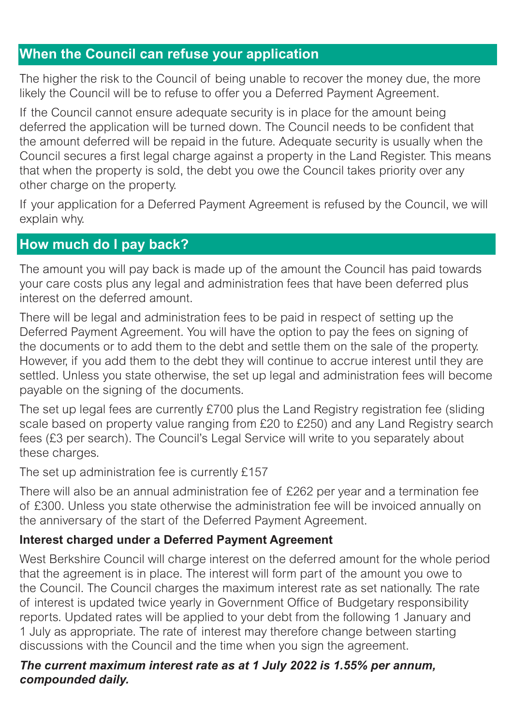# **When the Council can refuse your application**

The higher the risk to the Council of being unable to recover the money due, the more likely the Council will be to refuse to offer you a Deferred Payment Agreement.

If the Council cannot ensure adequate security is in place for the amount being deferred the application will be turned down. The Council needs to be confident that the amount deferred will be repaid in the future. Adequate security is usually when the Council secures a first legal charge against a property in the Land Register. This means that when the property is sold, the debt you owe the Council takes priority over any other charge on the property.

If your application for a Deferred Payment Agreement is refused by the Council, we will explain why.

# **How much do I pay back?**

The amount you will pay back is made up of the amount the Council has paid towards your care costs plus any legal and administration fees that have been deferred plus interest on the deferred amount.

There will be legal and administration fees to be paid in respect of setting up the Deferred Payment Agreement. You will have the option to pay the fees on signing of the documents or to add them to the debt and settle them on the sale of the property. However, if you add them to the debt they will continue to accrue interest until they are settled. Unless you state otherwise, the set up legal and administration fees will become payable on the signing of the documents.

The set up legal fees are currently £700 plus the Land Registry registration fee (sliding scale based on property value ranging from £20 to £250) and any Land Registry search fees (£3 per search). The Council's Legal Service will write to you separately about these charges.

The set up administration fee is currently £157

There will also be an annual administration fee of £262 per year and a termination fee of £300. Unless you state otherwise the administration fee will be invoiced annually on the anniversary of the start of the Deferred Payment Agreement.

#### **Interest charged under a Deferred Payment Agreement**

West Berkshire Council will charge interest on the deferred amount for the whole period that the agreement is in place. The interest will form part of the amount you owe to the Council. The Council charges the maximum interest rate as set nationally. The rate of interest is updated twice yearly in Government Office of Budgetary responsibility reports. Updated rates will be applied to your debt from the following 1 January and 1 July as appropriate. The rate of interest may therefore change between starting discussions with the Council and the time when you sign the agreement.

#### *The current maximum interest rate as at 1 July 2022 is 1.55% per annum, compounded daily.*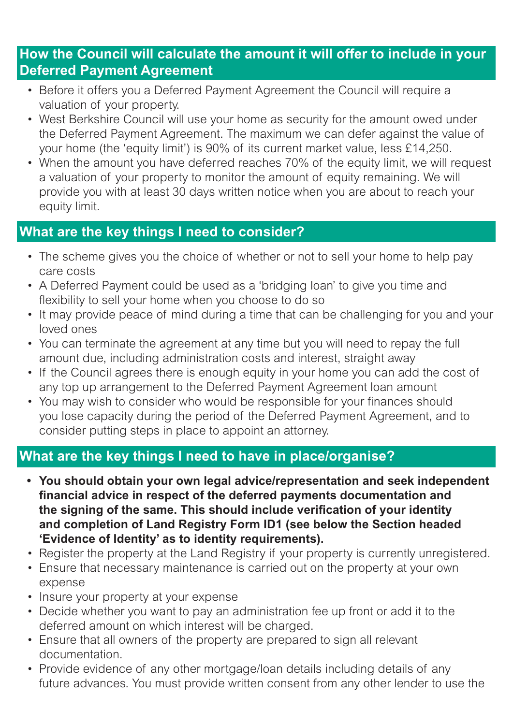# **How the Council will calculate the amount it will offer to include in your Deferred Payment Agreement**

- Before it offers you a Deferred Payment Agreement the Council will require a valuation of your property.
- West Berkshire Council will use your home as security for the amount owed under the Deferred Payment Agreement. The maximum we can defer against the value of your home (the 'equity limit') is 90% of its current market value, less £14,250.
- When the amount you have deferred reaches 70% of the equity limit, we will request a valuation of your property to monitor the amount of equity remaining. We will provide you with at least 30 days written notice when you are about to reach your equity limit.

## **What are the key things I need to consider?**

- The scheme gives you the choice of whether or not to sell your home to help pay care costs
- A Deferred Payment could be used as a 'bridging loan' to give you time and flexibility to sell your home when you choose to do so
- It may provide peace of mind during a time that can be challenging for you and your loved ones
- You can terminate the agreement at any time but you will need to repay the full amount due, including administration costs and interest, straight away
- If the Council agrees there is enough equity in your home you can add the cost of any top up arrangement to the Deferred Payment Agreement loan amount
- You may wish to consider who would be responsible for your finances should you lose capacity during the period of the Deferred Payment Agreement, and to consider putting steps in place to appoint an attorney.

# **What are the key things I need to have in place/organise?**

- **• You should obtain your own legal advice/representation and seek independent financial advice in respect of the deferred payments documentation and the signing of the same. This should include verification of your identity and completion of Land Registry Form ID1 (see below the Section headed 'Evidence of Identity' as to identity requirements).**
- Register the property at the Land Registry if your property is currently unregistered.
- Ensure that necessary maintenance is carried out on the property at your own expense
- Insure your property at your expense
- Decide whether you want to pay an administration fee up front or add it to the deferred amount on which interest will be charged.
- Ensure that all owners of the property are prepared to sign all relevant documentation.
- Provide evidence of any other mortgage/loan details including details of any future advances. You must provide written consent from any other lender to use the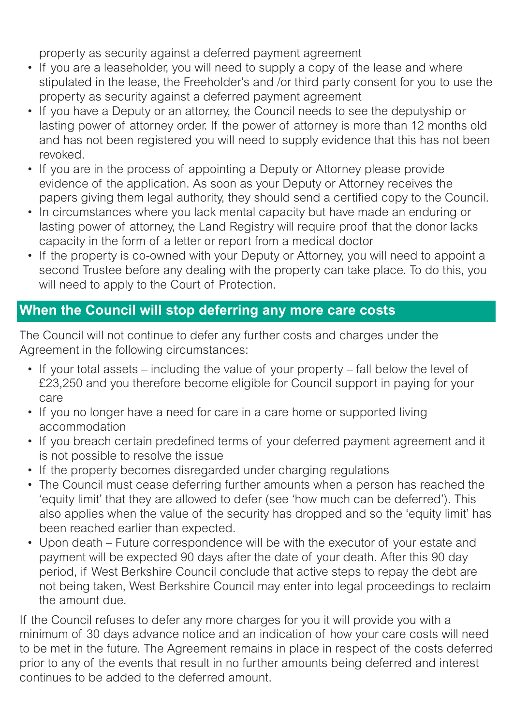property as security against a deferred payment agreement

- If you are a leaseholder, you will need to supply a copy of the lease and where stipulated in the lease, the Freeholder's and /or third party consent for you to use the property as security against a deferred payment agreement
- If you have a Deputy or an attorney, the Council needs to see the deputyship or lasting power of attorney order. If the power of attorney is more than 12 months old and has not been registered you will need to supply evidence that this has not been revoked.
- If you are in the process of appointing a Deputy or Attorney please provide evidence of the application. As soon as your Deputy or Attorney receives the papers giving them legal authority, they should send a certified copy to the Council.
- In circumstances where you lack mental capacity but have made an enduring or lasting power of attorney, the Land Registry will require proof that the donor lacks capacity in the form of a letter or report from a medical doctor
- If the property is co-owned with your Deputy or Attorney, you will need to appoint a second Trustee before any dealing with the property can take place. To do this, you will need to apply to the Court of Protection.

# **When the Council will stop deferring any more care costs**

The Council will not continue to defer any further costs and charges under the Agreement in the following circumstances:

- If your total assets including the value of your property fall below the level of £23,250 and you therefore become eligible for Council support in paying for your care
- If you no longer have a need for care in a care home or supported living accommodation
- If you breach certain predefined terms of your deferred payment agreement and it is not possible to resolve the issue
- If the property becomes disregarded under charging regulations
- The Council must cease deferring further amounts when a person has reached the 'equity limit' that they are allowed to defer (see 'how much can be deferred'). This also applies when the value of the security has dropped and so the 'equity limit' has been reached earlier than expected.
- Upon death Future correspondence will be with the executor of your estate and payment will be expected 90 days after the date of your death. After this 90 day period, if West Berkshire Council conclude that active steps to repay the debt are not being taken, West Berkshire Council may enter into legal proceedings to reclaim the amount due.

If the Council refuses to defer any more charges for you it will provide you with a minimum of 30 days advance notice and an indication of how your care costs will need to be met in the future. The Agreement remains in place in respect of the costs deferred prior to any of the events that result in no further amounts being deferred and interest continues to be added to the deferred amount.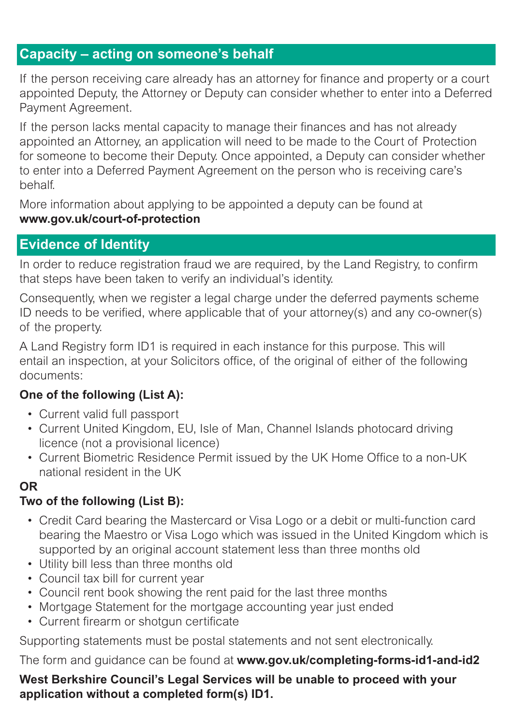## **Capacity – acting on someone's behalf**

If the person receiving care already has an attorney for finance and property or a court appointed Deputy, the Attorney or Deputy can consider whether to enter into a Deferred Payment Agreement.

If the person lacks mental capacity to manage their finances and has not already appointed an Attorney, an application will need to be made to the Court of Protection for someone to become their Deputy. Once appointed, a Deputy can consider whether to enter into a Deferred Payment Agreement on the person who is receiving care's behalf.

More information about applying to be appointed a deputy can be found at **www.gov.uk/court-of-protection**

### **Evidence of Identity**

In order to reduce registration fraud we are required, by the Land Registry, to confirm that steps have been taken to verify an individual's identity.

Consequently, when we register a legal charge under the deferred payments scheme ID needs to be verified, where applicable that of your attorney(s) and any co-owner(s) of the property.

A Land Registry form ID1 is required in each instance for this purpose. This will entail an inspection, at your Solicitors office, of the original of either of the following documents:

#### **One of the following (List A):**

- Current valid full passport
- Current United Kingdom, EU, Isle of Man, Channel Islands photocard driving licence (not a provisional licence)
- Current Biometric Residence Permit issued by the UK Home Office to a non-UK national resident in the UK

#### **OR**

#### **Two of the following (List B):**

- Credit Card bearing the Mastercard or Visa Logo or a debit or multi-function card bearing the Maestro or Visa Logo which was issued in the United Kingdom which is supported by an original account statement less than three months old
- Utility bill less than three months old
- Council tax bill for current year
- Council rent book showing the rent paid for the last three months
- Mortgage Statement for the mortgage accounting year just ended
- Current firearm or shotgun certificate

Supporting statements must be postal statements and not sent electronically.

The form and guidance can be found at **www.gov.uk/completing-forms-id1-and-id2**

**West Berkshire Council's Legal Services will be unable to proceed with your application without a completed form(s) ID1.**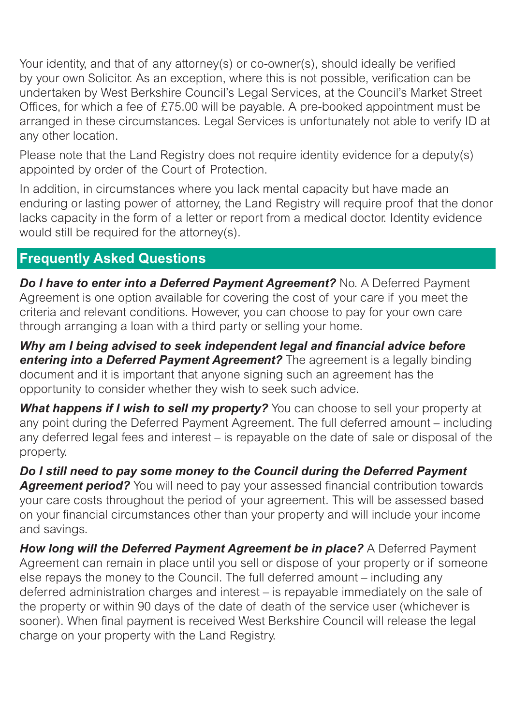Your identity, and that of any attorney(s) or co-owner(s), should ideally be verified by your own Solicitor. As an exception, where this is not possible, verification can be undertaken by West Berkshire Council's Legal Services, at the Council's Market Street Offices, for which a fee of £75.00 will be payable. A pre-booked appointment must be arranged in these circumstances. Legal Services is unfortunately not able to verify ID at any other location.

Please note that the Land Registry does not require identity evidence for a deputy(s) appointed by order of the Court of Protection.

In addition, in circumstances where you lack mental capacity but have made an enduring or lasting power of attorney, the Land Registry will require proof that the donor lacks capacity in the form of a letter or report from a medical doctor. Identity evidence would still be required for the attorney(s).

# **Frequently Asked Questions**

*Do I have to enter into a Deferred Payment Agreement?* **No. A Deferred Payment** Agreement is one option available for covering the cost of your care if you meet the criteria and relevant conditions. However, you can choose to pay for your own care through arranging a loan with a third party or selling your home.

*Why am I being advised to seek independent legal and financial advice before*  **entering into a Deferred Payment Agreement?** The agreement is a legally binding document and it is important that anyone signing such an agreement has the opportunity to consider whether they wish to seek such advice.

*What happens if I wish to sell my property?* You can choose to sell your property at any point during the Deferred Payment Agreement. The full deferred amount – including any deferred legal fees and interest – is repayable on the date of sale or disposal of the property.

*Do I still need to pay some money to the Council during the Deferred Payment*  **Agreement period?** You will need to pay your assessed financial contribution towards your care costs throughout the period of your agreement. This will be assessed based on your financial circumstances other than your property and will include your income and savings.

*How long will the Deferred Payment Agreement be in place?* **A Deferred Payment** Agreement can remain in place until you sell or dispose of your property or if someone else repays the money to the Council. The full deferred amount – including any deferred administration charges and interest – is repayable immediately on the sale of the property or within 90 days of the date of death of the service user (whichever is sooner). When final payment is received West Berkshire Council will release the legal charge on your property with the Land Registry.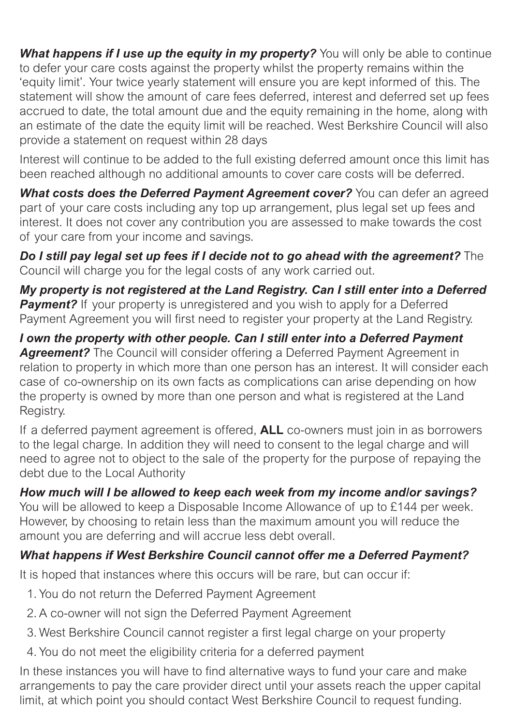*What happens if I use up the equity in my property?* **You will only be able to continue** to defer your care costs against the property whilst the property remains within the 'equity limit'. Your twice yearly statement will ensure you are kept informed of this. The statement will show the amount of care fees deferred, interest and deferred set up fees accrued to date, the total amount due and the equity remaining in the home, along with an estimate of the date the equity limit will be reached. West Berkshire Council will also provide a statement on request within 28 days

Interest will continue to be added to the full existing deferred amount once this limit has been reached although no additional amounts to cover care costs will be deferred.

*What costs does the Deferred Payment Agreement cover?* You can defer an agreed part of your care costs including any top up arrangement, plus legal set up fees and interest. It does not cover any contribution you are assessed to make towards the cost of your care from your income and savings.

*Do I still pay legal set up fees if I decide not to go ahead with the agreement?* The Council will charge you for the legal costs of any work carried out.

*My property is not registered at the Land Registry. Can I still enter into a Deferred*  **Payment?** If your property is unregistered and you wish to apply for a Deferred Payment Agreement you will first need to register your property at the Land Registry.

*I own the property with other people. Can I still enter into a Deferred Payment Agreement?* The Council will consider offering a Deferred Payment Agreement in relation to property in which more than one person has an interest. It will consider each case of co-ownership on its own facts as complications can arise depending on how the property is owned by more than one person and what is registered at the Land Registry.

If a deferred payment agreement is offered, **ALL** co-owners must join in as borrowers to the legal charge. In addition they will need to consent to the legal charge and will need to agree not to object to the sale of the property for the purpose of repaying the debt due to the Local Authority

*How much will I be allowed to keep each week from my income and/or savings?*

You will be allowed to keep a Disposable Income Allowance of up to £144 per week. However, by choosing to retain less than the maximum amount you will reduce the amount you are deferring and will accrue less debt overall.

# *What happens if West Berkshire Council cannot offer me a Deferred Payment?*

It is hoped that instances where this occurs will be rare, but can occur if:

- 1. You do not return the Deferred Payment Agreement
- 2. A co-owner will not sign the Deferred Payment Agreement
- 3. West Berkshire Council cannot register a first legal charge on your property
- 4. You do not meet the eligibility criteria for a deferred payment

In these instances you will have to find alternative ways to fund your care and make arrangements to pay the care provider direct until your assets reach the upper capital limit, at which point you should contact West Berkshire Council to request funding.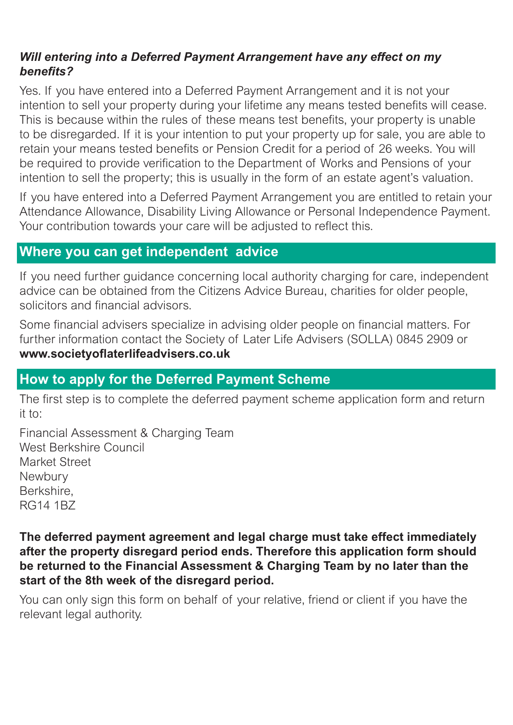#### *Will entering into a Deferred Payment Arrangement have any effect on my benefits?*

Yes. If you have entered into a Deferred Payment Arrangement and it is not your intention to sell your property during your lifetime any means tested benefits will cease. This is because within the rules of these means test benefits, your property is unable to be disregarded. If it is your intention to put your property up for sale, you are able to retain your means tested benefits or Pension Credit for a period of 26 weeks. You will be required to provide verification to the Department of Works and Pensions of your intention to sell the property; this is usually in the form of an estate agent's valuation.

If you have entered into a Deferred Payment Arrangement you are entitled to retain your Attendance Allowance, Disability Living Allowance or Personal Independence Payment. Your contribution towards your care will be adjusted to reflect this.

### **Where you can get independent advice**

If you need further guidance concerning local authority charging for care, independent advice can be obtained from the Citizens Advice Bureau, charities for older people, solicitors and financial advisors.

Some financial advisers specialize in advising older people on financial matters. For further information contact the Society of Later Life Advisers (SOLLA) 0845 2909 or **www.societyoflaterlifeadvisers.co.uk**

## **How to apply for the Deferred Payment Scheme**

The first step is to complete the deferred payment scheme application form and return it to:

Financial Assessment & Charging Team West Berkshire Council Market Street **Newbury** Berkshire, RG14 1BZ

**The deferred payment agreement and legal charge must take effect immediately after the property disregard period ends. Therefore this application form should be returned to the Financial Assessment & Charging Team by no later than the start of the 8th week of the disregard period.**

You can only sign this form on behalf of your relative, friend or client if you have the relevant legal authority.